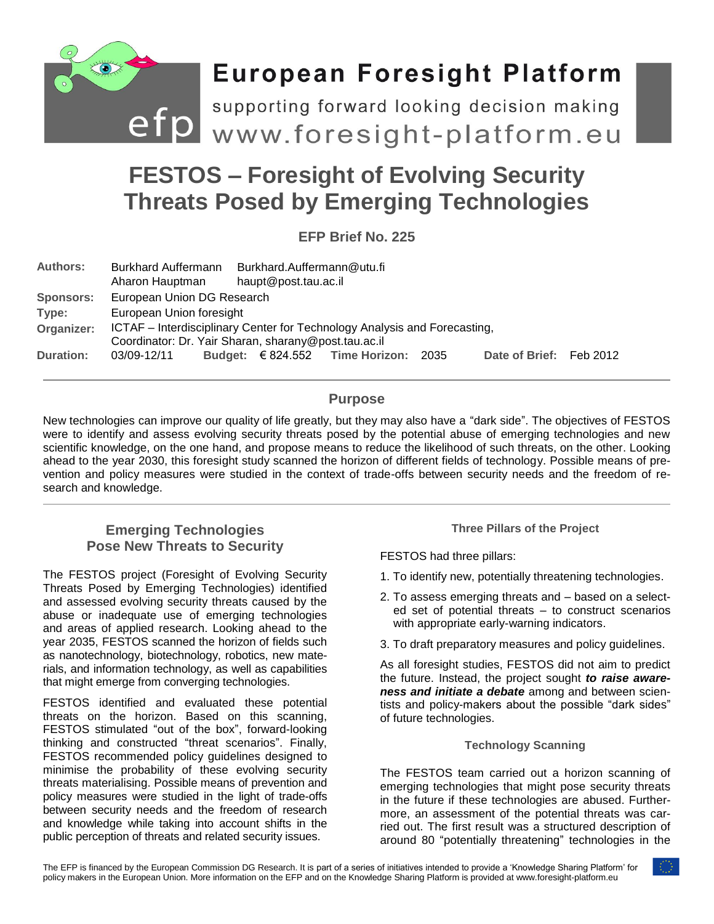

# **FESTOS – Foresight of Evolving Security Threats Posed by Emerging Technologies**

**EFP Brief No. 225**

| <b>Authors:</b>  | <b>Burkhard Auffermann</b><br>Aharon Hauptman                                                                                     |  | haupt@post.tau.ac.il | Burkhard.Auffermann@utu.fi               |      |                         |  |
|------------------|-----------------------------------------------------------------------------------------------------------------------------------|--|----------------------|------------------------------------------|------|-------------------------|--|
| <b>Sponsors:</b> | European Union DG Research                                                                                                        |  |                      |                                          |      |                         |  |
| Type:            | European Union foresight                                                                                                          |  |                      |                                          |      |                         |  |
| Organizer:       | ICTAF – Interdisciplinary Center for Technology Analysis and Forecasting,<br>Coordinator: Dr. Yair Sharan, sharany@post.tau.ac.il |  |                      |                                          |      |                         |  |
| <b>Duration:</b> | 03/09-12/11                                                                                                                       |  |                      | Budget: $\epsilon$ 824.552 Time Horizon: | 2035 | Date of Brief: Feb 2012 |  |

# **Purpose**

New technologies can improve our quality of life greatly, but they may also have a "dark side". The objectives of FESTOS were to identify and assess evolving security threats posed by the potential abuse of emerging technologies and new scientific knowledge, on the one hand, and propose means to reduce the likelihood of such threats, on the other. Looking ahead to the year 2030, this foresight study scanned the horizon of different fields of technology. Possible means of prevention and policy measures were studied in the context of trade-offs between security needs and the freedom of research and knowledge.

# **Emerging Technologies Pose New Threats to Security**

The FESTOS project (Foresight of Evolving Security Threats Posed by Emerging Technologies) identified and assessed evolving security threats caused by the abuse or inadequate use of emerging technologies and areas of applied research. Looking ahead to the year 2035, FESTOS scanned the horizon of fields such as nanotechnology, biotechnology, robotics, new materials, and information technology, as well as capabilities that might emerge from converging technologies.

FESTOS identified and evaluated these potential threats on the horizon. Based on this scanning, FESTOS stimulated "out of the box", forward-looking thinking and constructed "threat scenarios". Finally, FESTOS recommended policy guidelines designed to minimise the probability of these evolving security threats materialising. Possible means of prevention and policy measures were studied in the light of trade-offs between security needs and the freedom of research and knowledge while taking into account shifts in the public perception of threats and related security issues.

**Three Pillars of the Project**

FESTOS had three pillars:

- 1. To identify new, potentially threatening technologies.
- 2. To assess emerging threats and based on a selected set of potential threats – to construct scenarios with appropriate early-warning indicators.
- 3. To draft preparatory measures and policy guidelines.

As all foresight studies, FESTOS did not aim to predict the future. Instead, the project sought *to raise awareness and initiate a debate* among and between scientists and policy-makers about the possible "dark sides" of future technologies.

## **Technology Scanning**

The FESTOS team carried out a horizon scanning of emerging technologies that might pose security threats in the future if these technologies are abused. Furthermore, an assessment of the potential threats was carried out. The first result was a structured description of around 80 "potentially threatening" technologies in the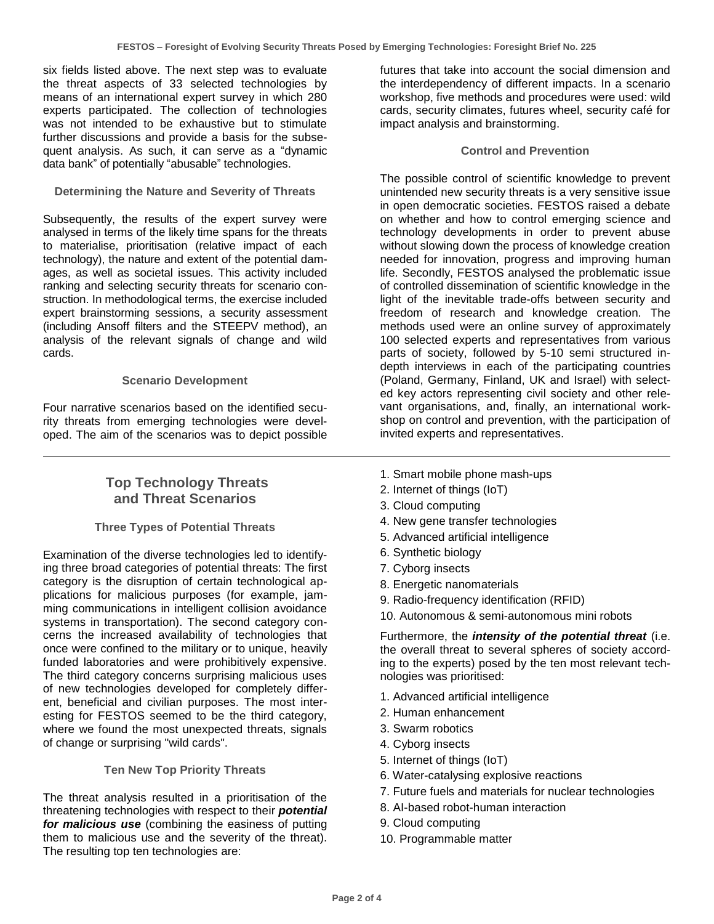six fields listed above. The next step was to evaluate the threat aspects of 33 selected technologies by means of an international expert survey in which 280 experts participated. The collection of technologies was not intended to be exhaustive but to stimulate further discussions and provide a basis for the subsequent analysis. As such, it can serve as a "dynamic data bank" of potentially "abusable" technologies.

## **Determining the Nature and Severity of Threats**

Subsequently, the results of the expert survey were analysed in terms of the likely time spans for the threats to materialise, prioritisation (relative impact of each technology), the nature and extent of the potential damages, as well as societal issues. This activity included ranking and selecting security threats for scenario construction. In methodological terms, the exercise included expert brainstorming sessions, a security assessment (including Ansoff filters and the STEEPV method), an analysis of the relevant signals of change and wild cards.

## **Scenario Development**

Four narrative scenarios based on the identified security threats from emerging technologies were developed. The aim of the scenarios was to depict possible

## **Top Technology Threats and Threat Scenarios**

## **Three Types of Potential Threats**

Examination of the diverse technologies led to identifying three broad categories of potential threats: The first category is the disruption of certain technological applications for malicious purposes (for example, jamming communications in intelligent collision avoidance systems in transportation). The second category concerns the increased availability of technologies that once were confined to the military or to unique, heavily funded laboratories and were prohibitively expensive. The third category concerns surprising malicious uses of new technologies developed for completely different, beneficial and civilian purposes. The most interesting for FESTOS seemed to be the third category, where we found the most unexpected threats, signals of change or surprising "wild cards".

#### **Ten New Top Priority Threats**

The threat analysis resulted in a prioritisation of the threatening technologies with respect to their *potential for malicious use* (combining the easiness of putting them to malicious use and the severity of the threat). The resulting top ten technologies are:

futures that take into account the social dimension and the interdependency of different impacts. In a scenario workshop, five methods and procedures were used: wild cards, security climates, futures wheel, security café for impact analysis and brainstorming.

## **Control and Prevention**

The possible control of scientific knowledge to prevent unintended new security threats is a very sensitive issue in open democratic societies. FESTOS raised a debate on whether and how to control emerging science and technology developments in order to prevent abuse without slowing down the process of knowledge creation needed for innovation, progress and improving human life. Secondly, FESTOS analysed the problematic issue of controlled dissemination of scientific knowledge in the light of the inevitable trade-offs between security and freedom of research and knowledge creation. The methods used were an online survey of approximately 100 selected experts and representatives from various parts of society, followed by 5-10 semi structured indepth interviews in each of the participating countries (Poland, Germany, Finland, UK and Israel) with selected key actors representing civil society and other relevant organisations, and, finally, an international workshop on control and prevention, with the participation of invited experts and representatives.

- 1. Smart mobile phone mash-ups
- 2. Internet of things (IoT)
- 3. Cloud computing
- 4. New gene transfer technologies
- 5. Advanced artificial intelligence
- 6. Synthetic biology
- 7. Cyborg insects
- 8. Energetic nanomaterials
- 9. Radio-frequency identification (RFID)
- 10. Autonomous & semi-autonomous mini robots

Furthermore, the *intensity of the potential threat* (i.e. the overall threat to several spheres of society according to the experts) posed by the ten most relevant technologies was prioritised:

- 1. Advanced artificial intelligence
- 2. Human enhancement
- 3. Swarm robotics
- 4. Cyborg insects
- 5. Internet of things (IoT)
- 6. Water-catalysing explosive reactions
- 7. Future fuels and materials for nuclear technologies
- 8. AI-based robot-human interaction
- 9. Cloud computing
- 10. Programmable matter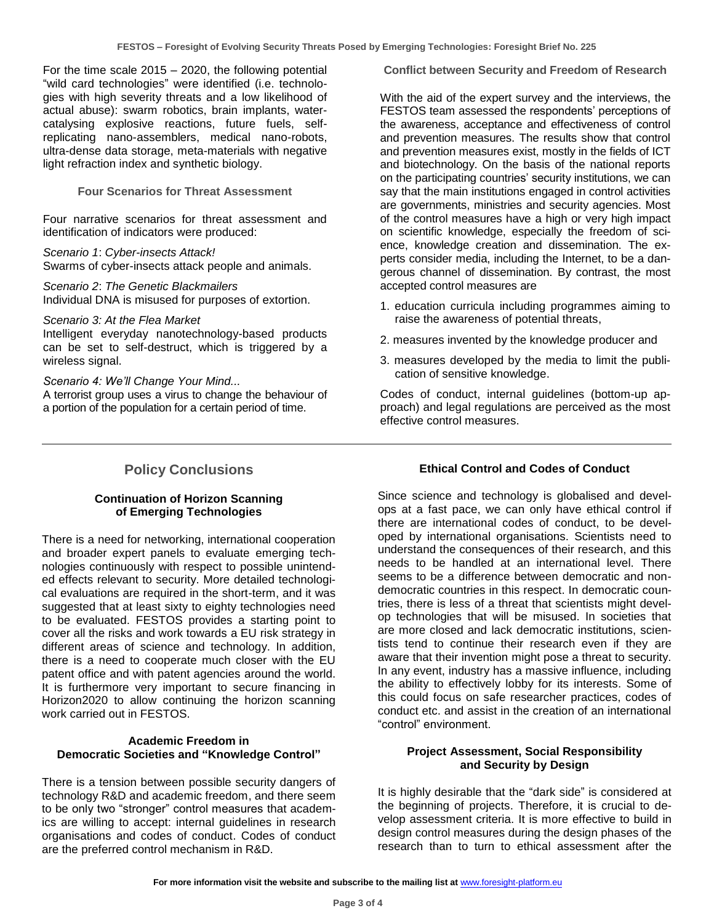For the time scale  $2015 - 2020$ , the following potential "wild card technologies" were identified (i.e. technologies with high severity threats and a low likelihood of actual abuse): swarm robotics, brain implants, watercatalysing explosive reactions, future fuels, selfreplicating nano-assemblers, medical nano-robots, ultra-dense data storage, meta-materials with negative light refraction index and synthetic biology.

**Four Scenarios for Threat Assessment**

Four narrative scenarios for threat assessment and identification of indicators were produced:

*Scenario 1*: *Cyber-insects Attack!* Swarms of cyber-insects attack people and animals.

*Scenario 2*: *The Genetic Blackmailers* Individual DNA is misused for purposes of extortion.

*Scenario 3: At the Flea Market* Intelligent everyday nanotechnology-based products can be set to self-destruct, which is triggered by a wireless signal.

*Scenario 4: We'll Change Your Mind...*

A terrorist group uses a virus to change the behaviour of a portion of the population for a certain period of time.

**Conflict between Security and Freedom of Research**

With the aid of the expert survey and the interviews, the FESTOS team assessed the respondents' perceptions of the awareness, acceptance and effectiveness of control and prevention measures. The results show that control and prevention measures exist, mostly in the fields of ICT and biotechnology. On the basis of the national reports on the participating countries' security institutions, we can say that the main institutions engaged in control activities are governments, ministries and security agencies. Most of the control measures have a high or very high impact on scientific knowledge, especially the freedom of science, knowledge creation and dissemination. The experts consider media, including the Internet, to be a dangerous channel of dissemination. By contrast, the most accepted control measures are

- 1. education curricula including programmes aiming to raise the awareness of potential threats,
- 2. measures invented by the knowledge producer and
- 3. measures developed by the media to limit the publication of sensitive knowledge.

Codes of conduct, internal guidelines (bottom-up approach) and legal regulations are perceived as the most effective control measures.

# **Policy Conclusions**

## **Continuation of Horizon Scanning of Emerging Technologies**

There is a need for networking, international cooperation and broader expert panels to evaluate emerging technologies continuously with respect to possible unintended effects relevant to security. More detailed technological evaluations are required in the short-term, and it was suggested that at least sixty to eighty technologies need to be evaluated. FESTOS provides a starting point to cover all the risks and work towards a EU risk strategy in different areas of science and technology. In addition, there is a need to cooperate much closer with the EU patent office and with patent agencies around the world. It is furthermore very important to secure financing in Horizon2020 to allow continuing the horizon scanning work carried out in FESTOS.

## **Academic Freedom in Democratic Societies and "Knowledge Control"**

There is a tension between possible security dangers of technology R&D and academic freedom, and there seem to be only two "stronger" control measures that academics are willing to accept: internal guidelines in research organisations and codes of conduct. Codes of conduct are the preferred control mechanism in R&D.

## **Ethical Control and Codes of Conduct**

Since science and technology is globalised and develops at a fast pace, we can only have ethical control if there are international codes of conduct, to be developed by international organisations. Scientists need to understand the consequences of their research, and this needs to be handled at an international level. There seems to be a difference between democratic and nondemocratic countries in this respect. In democratic countries, there is less of a threat that scientists might develop technologies that will be misused. In societies that are more closed and lack democratic institutions, scientists tend to continue their research even if they are aware that their invention might pose a threat to security. In any event, industry has a massive influence, including the ability to effectively lobby for its interests. Some of this could focus on safe researcher practices, codes of conduct etc. and assist in the creation of an international "control" environment.

## **Project Assessment, Social Responsibility and Security by Design**

It is highly desirable that the "dark side" is considered at the beginning of projects. Therefore, it is crucial to develop assessment criteria. It is more effective to build in design control measures during the design phases of the research than to turn to ethical assessment after the